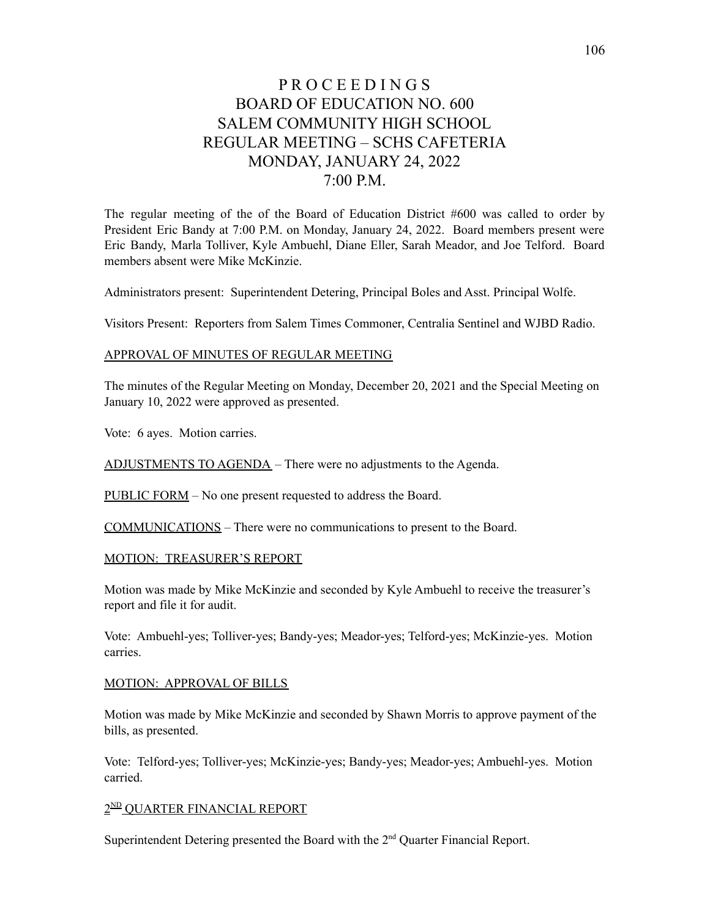# P R O C E E D I N G S BOARD OF EDUCATION NO. 600 SALEM COMMUNITY HIGH SCHOOL REGULAR MEETING – SCHS CAFETERIA MONDAY, JANUARY 24, 2022  $7:00 \text{ P.M.}$

The regular meeting of the of the Board of Education District #600 was called to order by President Eric Bandy at 7:00 P.M. on Monday, January 24, 2022. Board members present were Eric Bandy, Marla Tolliver, Kyle Ambuehl, Diane Eller, Sarah Meador, and Joe Telford. Board members absent were Mike McKinzie.

Administrators present: Superintendent Detering, Principal Boles and Asst. Principal Wolfe.

Visitors Present: Reporters from Salem Times Commoner, Centralia Sentinel and WJBD Radio.

#### APPROVAL OF MINUTES OF REGULAR MEETING

The minutes of the Regular Meeting on Monday, December 20, 2021 and the Special Meeting on January 10, 2022 were approved as presented.

Vote: 6 ayes. Motion carries.

ADJUSTMENTS TO AGENDA – There were no adjustments to the Agenda.

PUBLIC FORM – No one present requested to address the Board.

COMMUNICATIONS – There were no communications to present to the Board.

#### MOTION: TREASURER'S REPORT

Motion was made by Mike McKinzie and seconded by Kyle Ambuehl to receive the treasurer's report and file it for audit.

Vote: Ambuehl-yes; Tolliver-yes; Bandy-yes; Meador-yes; Telford-yes; McKinzie-yes. Motion carries.

#### MOTION: APPROVAL OF BILLS

Motion was made by Mike McKinzie and seconded by Shawn Morris to approve payment of the bills, as presented.

Vote: Telford-yes; Tolliver-yes; McKinzie-yes; Bandy-yes; Meador-yes; Ambuehl-yes. Motion carried.

## 2<sup>ND</sup> OUARTER FINANCIAL REPORT

Superintendent Detering presented the Board with the  $2<sup>nd</sup>$  Quarter Financial Report.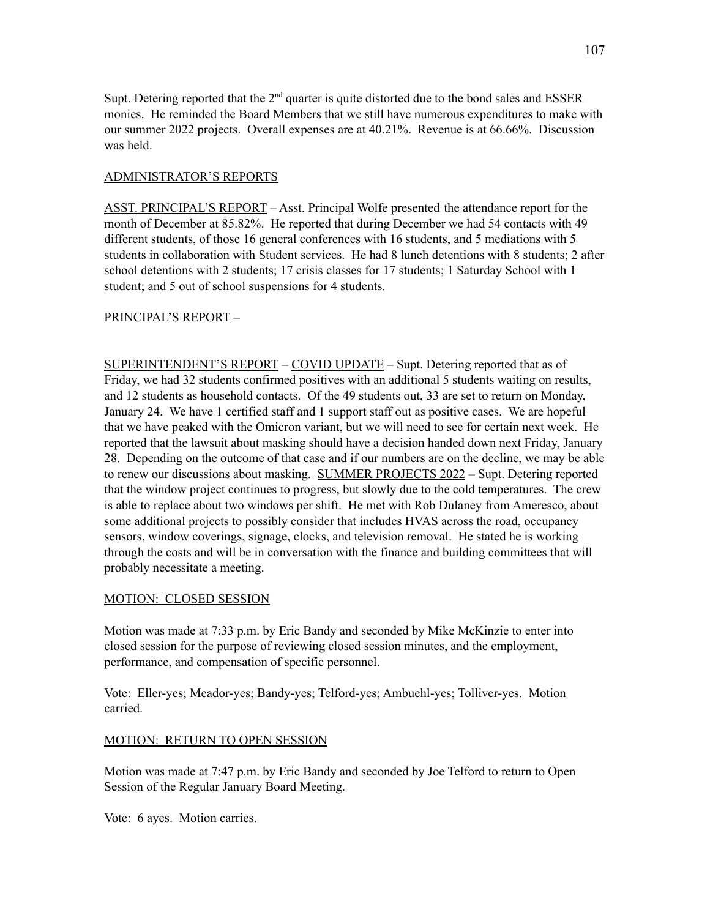Supt. Detering reported that the  $2<sup>nd</sup>$  quarter is quite distorted due to the bond sales and ESSER monies. He reminded the Board Members that we still have numerous expenditures to make with our summer 2022 projects. Overall expenses are at 40.21%. Revenue is at 66.66%. Discussion was held.

### ADMINISTRATOR'S REPORTS

ASST. PRINCIPAL'S REPORT – Asst. Principal Wolfe presented the attendance report for the month of December at 85.82%. He reported that during December we had 54 contacts with 49 different students, of those 16 general conferences with 16 students, and 5 mediations with 5 students in collaboration with Student services. He had 8 lunch detentions with 8 students; 2 after school detentions with 2 students; 17 crisis classes for 17 students; 1 Saturday School with 1 student; and 5 out of school suspensions for 4 students.

## PRINCIPAL'S REPORT –

SUPERINTENDENT'S REPORT – COVID UPDATE – Supt. Detering reported that as of Friday, we had 32 students confirmed positives with an additional 5 students waiting on results, and 12 students as household contacts. Of the 49 students out, 33 are set to return on Monday, January 24. We have 1 certified staff and 1 support staff out as positive cases. We are hopeful that we have peaked with the Omicron variant, but we will need to see for certain next week. He reported that the lawsuit about masking should have a decision handed down next Friday, January 28. Depending on the outcome of that case and if our numbers are on the decline, we may be able to renew our discussions about masking. SUMMER PROJECTS 2022 – Supt. Detering reported that the window project continues to progress, but slowly due to the cold temperatures. The crew is able to replace about two windows per shift. He met with Rob Dulaney from Ameresco, about some additional projects to possibly consider that includes HVAS across the road, occupancy sensors, window coverings, signage, clocks, and television removal. He stated he is working through the costs and will be in conversation with the finance and building committees that will probably necessitate a meeting.

#### MOTION: CLOSED SESSION

Motion was made at 7:33 p.m. by Eric Bandy and seconded by Mike McKinzie to enter into closed session for the purpose of reviewing closed session minutes, and the employment, performance, and compensation of specific personnel.

Vote: Eller-yes; Meador-yes; Bandy-yes; Telford-yes; Ambuehl-yes; Tolliver-yes. Motion carried.

## MOTION: RETURN TO OPEN SESSION

Motion was made at 7:47 p.m. by Eric Bandy and seconded by Joe Telford to return to Open Session of the Regular January Board Meeting.

Vote: 6 ayes. Motion carries.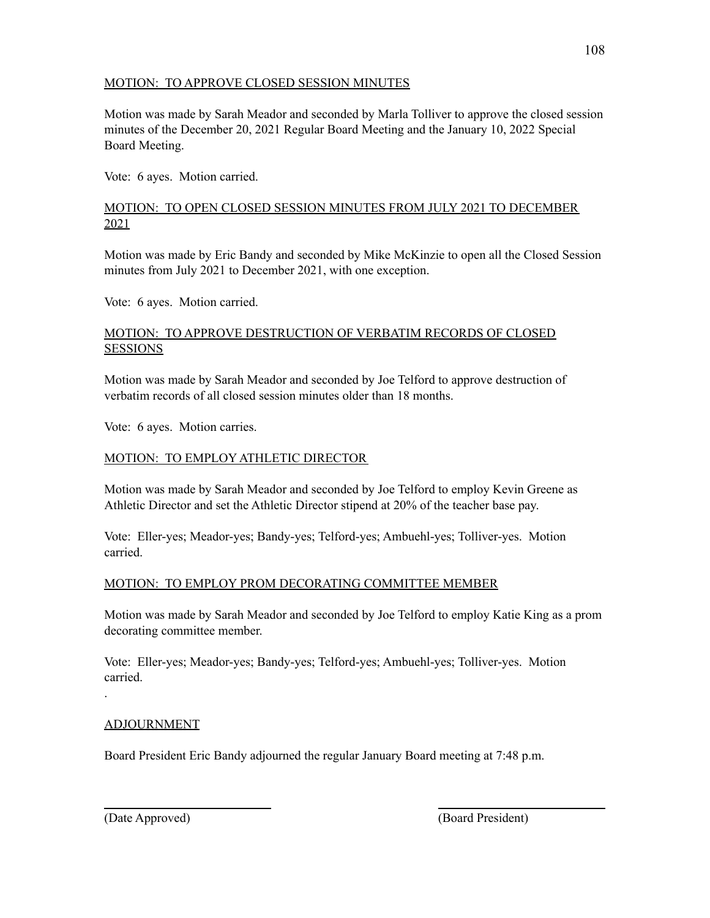# MOTION: TO APPROVE CLOSED SESSION MINUTES

Motion was made by Sarah Meador and seconded by Marla Tolliver to approve the closed session minutes of the December 20, 2021 Regular Board Meeting and the January 10, 2022 Special Board Meeting.

Vote: 6 ayes. Motion carried.

# MOTION: TO OPEN CLOSED SESSION MINUTES FROM JULY 2021 TO DECEMBER 2021

Motion was made by Eric Bandy and seconded by Mike McKinzie to open all the Closed Session minutes from July 2021 to December 2021, with one exception.

Vote: 6 ayes. Motion carried.

## MOTION: TO APPROVE DESTRUCTION OF VERBATIM RECORDS OF CLOSED **SESSIONS**

Motion was made by Sarah Meador and seconded by Joe Telford to approve destruction of verbatim records of all closed session minutes older than 18 months.

Vote: 6 ayes. Motion carries.

# MOTION: TO EMPLOY ATHLETIC DIRECTOR

Motion was made by Sarah Meador and seconded by Joe Telford to employ Kevin Greene as Athletic Director and set the Athletic Director stipend at 20% of the teacher base pay.

Vote: Eller-yes; Meador-yes; Bandy-yes; Telford-yes; Ambuehl-yes; Tolliver-yes. Motion carried.

# MOTION: TO EMPLOY PROM DECORATING COMMITTEE MEMBER

Motion was made by Sarah Meador and seconded by Joe Telford to employ Katie King as a prom decorating committee member.

Vote: Eller-yes; Meador-yes; Bandy-yes; Telford-yes; Ambuehl-yes; Tolliver-yes. Motion carried.

## ADJOURNMENT

.

Board President Eric Bandy adjourned the regular January Board meeting at 7:48 p.m.